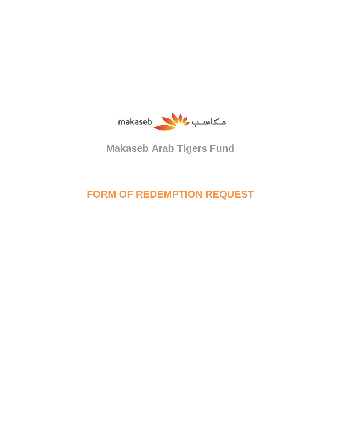

**Makaseb Arab Tigers Fund**

## **FORM OF REDEMPTION REQUEST**